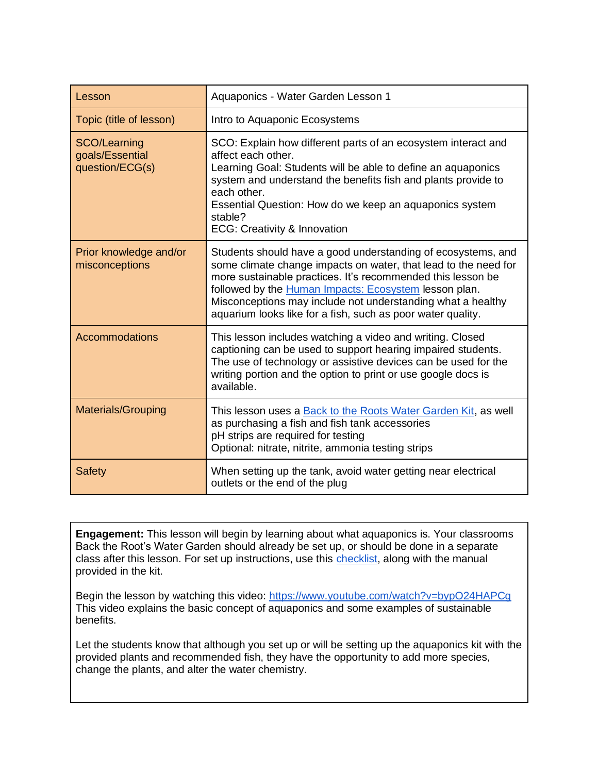| Lesson                                             | Aquaponics - Water Garden Lesson 1                                                                                                                                                                                                                                                                                                                                                    |
|----------------------------------------------------|---------------------------------------------------------------------------------------------------------------------------------------------------------------------------------------------------------------------------------------------------------------------------------------------------------------------------------------------------------------------------------------|
| Topic (title of lesson)                            | Intro to Aquaponic Ecosystems                                                                                                                                                                                                                                                                                                                                                         |
| SCO/Learning<br>goals/Essential<br>question/ECG(s) | SCO: Explain how different parts of an ecosystem interact and<br>affect each other.<br>Learning Goal: Students will be able to define an aquaponics<br>system and understand the benefits fish and plants provide to<br>each other.<br>Essential Question: How do we keep an aquaponics system<br>stable?<br><b>ECG: Creativity &amp; Innovation</b>                                  |
| Prior knowledge and/or<br>misconceptions           | Students should have a good understanding of ecosystems, and<br>some climate change impacts on water, that lead to the need for<br>more sustainable practices. It's recommended this lesson be<br>followed by the Human Impacts: Ecosystem lesson plan.<br>Misconceptions may include not understanding what a healthy<br>aquarium looks like for a fish, such as poor water quality. |
| <b>Accommodations</b>                              | This lesson includes watching a video and writing. Closed<br>captioning can be used to support hearing impaired students.<br>The use of technology or assistive devices can be used for the<br>writing portion and the option to print or use google docs is<br>available.                                                                                                            |
| Materials/Grouping                                 | This lesson uses a Back to the Roots Water Garden Kit, as well<br>as purchasing a fish and fish tank accessories<br>pH strips are required for testing<br>Optional: nitrate, nitrite, ammonia testing strips                                                                                                                                                                          |
| <b>Safety</b>                                      | When setting up the tank, avoid water getting near electrical<br>outlets or the end of the plug                                                                                                                                                                                                                                                                                       |

**Engagement:** This lesson will begin by learning about what aquaponics is. Your classrooms Back the Root's Water Garden should already be set up, or should be done in a separate class after this lesson. For set up instructions, use this [checklist,](https://docs.google.com/document/d/1YnKNQ1nVP5qv9mEYbERTv5zv7KjtQI9ls3bUsqrd9P4/edit) along with the manual provided in the kit.

Begin the lesson by watching this video:<https://www.youtube.com/watch?v=bypO24HAPCg> This video explains the basic concept of aquaponics and some examples of sustainable benefits.

Let the students know that although you set up or will be setting up the aquaponics kit with the provided plants and recommended fish, they have the opportunity to add more species, change the plants, and alter the water chemistry.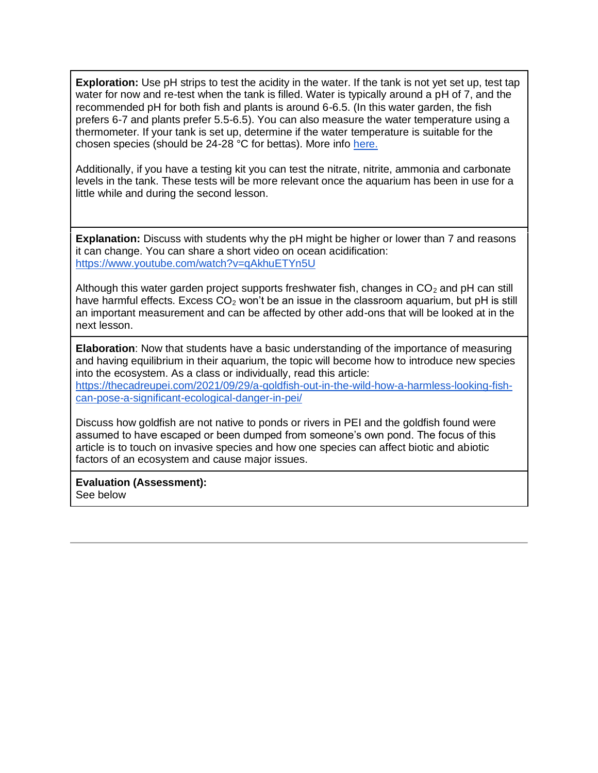**Exploration:** Use pH strips to test the acidity in the water. If the tank is not yet set up, test tap water for now and re-test when the tank is filled. Water is typically around a pH of 7, and the recommended pH for both fish and plants is around 6-6.5. (In this water garden, the fish prefers 6-7 and plants prefer 5.5-6.5). You can also measure the water temperature using a thermometer. If your tank is set up, determine if the water temperature is suitable for the chosen species (should be 24-28 °C for bettas). More info [here.](https://backtotheroots.com/pages/water-garden-frequently-asked-questions#foo_fishcare+)

Additionally, if you have a testing kit you can test the nitrate, nitrite, ammonia and carbonate levels in the tank. These tests will be more relevant once the aquarium has been in use for a little while and during the second lesson.

**Explanation:** Discuss with students why the pH might be higher or lower than 7 and reasons it can change. You can share a short video on ocean acidification: <https://www.youtube.com/watch?v=qAkhuETYn5U>

Although this water garden project supports freshwater fish, changes in  $CO<sub>2</sub>$  and pH can still have harmful effects. Excess  $CO<sub>2</sub>$  won't be an issue in the classroom aquarium, but pH is still an important measurement and can be affected by other add-ons that will be looked at in the next lesson.

**Elaboration**: Now that students have a basic understanding of the importance of measuring and having equilibrium in their aquarium, the topic will become how to introduce new species into the ecosystem. As a class or individually, read this article: [https://thecadreupei.com/2021/09/29/a-goldfish-out-in-the-wild-how-a-harmless-looking-fish](https://thecadreupei.com/2021/09/29/a-goldfish-out-in-the-wild-how-a-harmless-looking-fish-can-pose-a-significant-ecological-danger-in-pei/)[can-pose-a-significant-ecological-danger-in-pei/](https://thecadreupei.com/2021/09/29/a-goldfish-out-in-the-wild-how-a-harmless-looking-fish-can-pose-a-significant-ecological-danger-in-pei/)

Discuss how goldfish are not native to ponds or rivers in PEI and the goldfish found were assumed to have escaped or been dumped from someone's own pond. The focus of this article is to touch on invasive species and how one species can affect biotic and abiotic factors of an ecosystem and cause major issues.

**Evaluation (Assessment):**  See below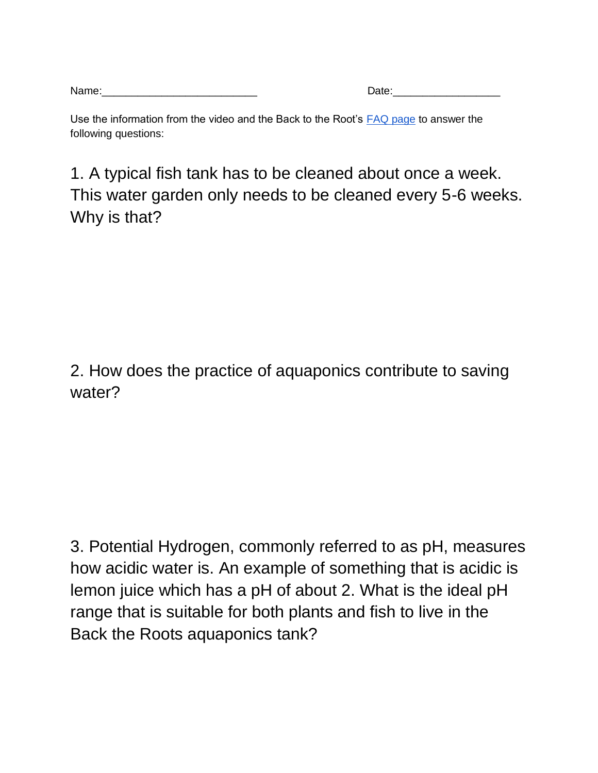| Name: | )ate |
|-------|------|
|       | ww   |

| Date: |
|-------|
|       |

Use the information from the video and the Back to the Root's [FAQ page](https://backtotheroots.com/pages/water-garden-frequently-asked-questions) to answer the following questions:

1. A typical fish tank has to be cleaned about once a week. This water garden only needs to be cleaned every 5-6 weeks. Why is that?

2. How does the practice of aquaponics contribute to saving water?

3. Potential Hydrogen, commonly referred to as pH, measures how acidic water is. An example of something that is acidic is lemon juice which has a pH of about 2. What is the ideal pH range that is suitable for both plants and fish to live in the Back the Roots aquaponics tank?